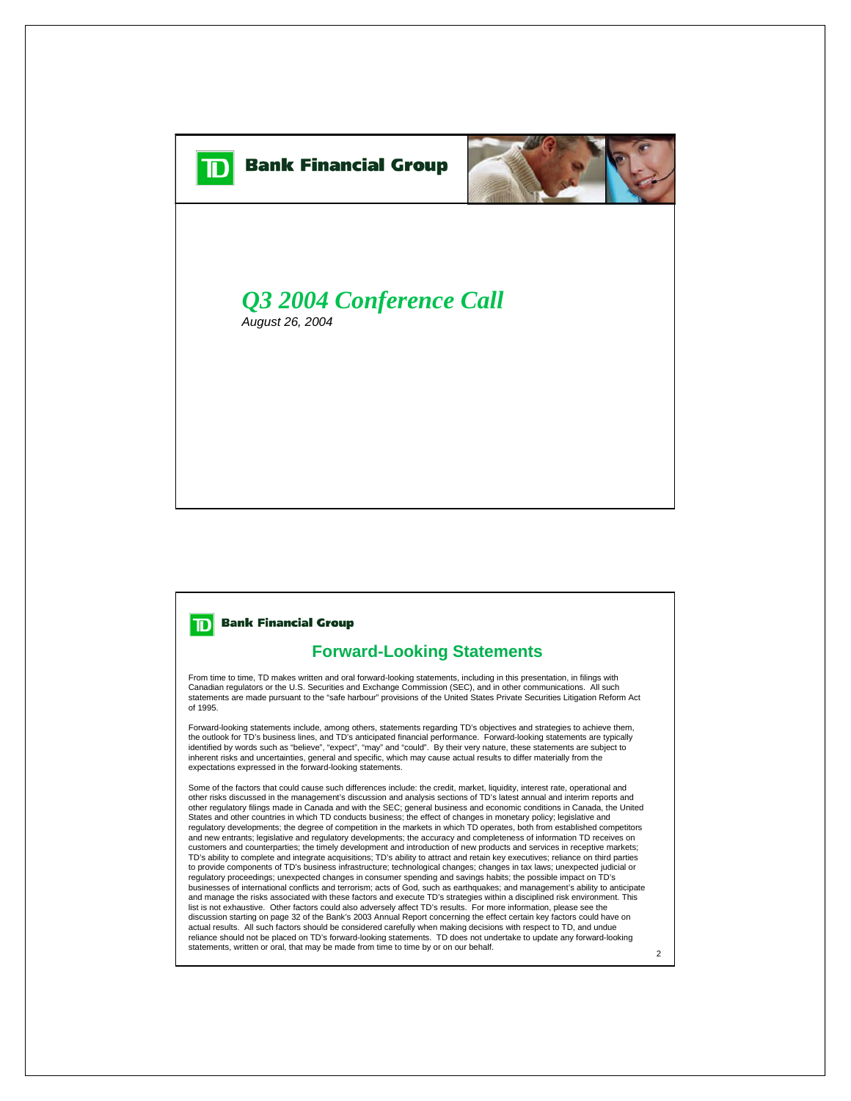

*August 26, 2004*

## **TD** Bank Financial Group

## **Forward-Looking Statements**

From time to time, TD makes written and oral forward-looking statements, including in this presentation, in filings with<br>Canadian regulators or the U.S. Securities and Exchange Commission (SEC), and in other communications statements are made pursuant to the "safe harbour" provisions of the United States Private Securities Litigation Reform Act of 1995.

Forward-looking statements include, among others, statements regarding TD's objectives and strategies to achieve them,<br>the outlook for TD's business lines, and TD's anticipated financial performance. Forward-looking statem identified by words such as "believe", "expect", "may" and "could". By their very nature, these statements are subject to<br>inherent risks and uncertainties, general and specific, which may cause actual results to differ mat expectations expressed in the forward-looking statements.

Some of the factors that could cause such differences include: the credit, market, liquidity, interest rate, operational and other risks discussed in the management's discussion and analysis sections of TD's latest annual and interim reports and other regulatory filings made in Canada and with the SEC; general business and economic conditions in Canada, the United States and other countries in which TD conducts business; the effect of changes in monetary policy; legislative and<br>regulatory developments; the degree of competition in the markets in which TD operates, both from establis and new entrants; legislative and regulatory developments; the accuracy and completeness of information TD receives on customers and counterparties; the timely development and introduction of new products and services in receptive markets; TD's ability to complete and integrate acquisitions; TD's ability to attract and retain key executives; reliance on third parties to provide components of TD's business infrastructure; technological changes; changes in tax laws; unexpected judicial or<br>regulatory proceedings; unexpected changes in consumer spending and savings habits; the possible imp businesses of international conflicts and terrorism; acts of God, such as earthquakes; and management's ability to anticipate and manage the risks associated with these factors and execute TD's strategies within a disciplined risk environment. This<br>list is not exhaustive. Other factors could also adversely affect TD's results. For more informat discussion starting on page 32 of the Bank's 2003 Annual Report concerning the effect certain key factors could have on actual results. All such factors should be considered carefully when making decisions with respect to TD, and undue reliance should not be placed on TD's forward-looking statements. TD does not undertake to update any forward-looking statements, written or oral, that may be made from time to time by or on our behalf.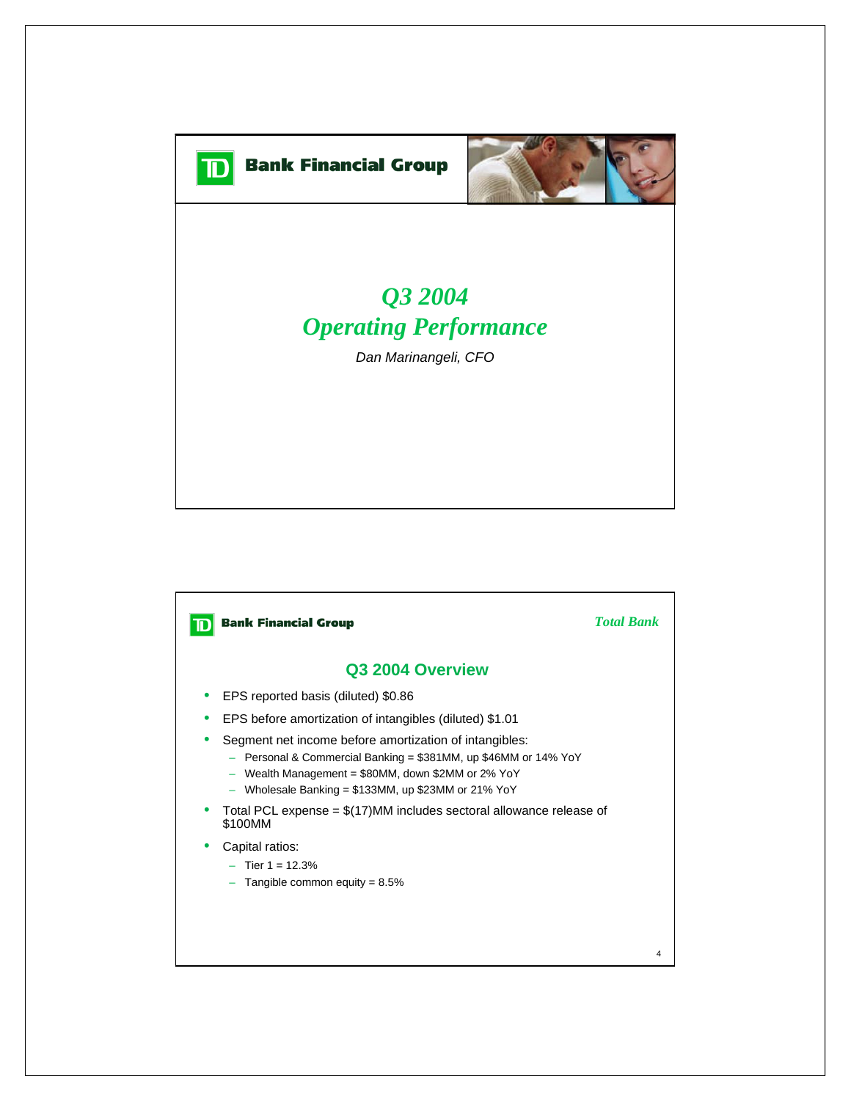

**D** Bank Financial Group



## *Q3 2004 Operating Performance*

*Dan Marinangeli, CFO*

## **TD** Bank Financial Group *Total Bank***Q3 2004 Overview** • EPS reported basis (diluted) \$0.86 • EPS before amortization of intangibles (diluted) \$1.01 Segment net income before amortization of intangibles: – Personal & Commercial Banking = \$381MM, up \$46MM or 14% YoY – Wealth Management = \$80MM, down \$2MM or 2% YoY – Wholesale Banking = \$133MM, up \$23MM or 21% YoY • Total PCL expense =  $$(17)MM$  includes sectoral allowance release of \$100MM • Capital ratios:  $-$  Tier 1 = 12.3%  $-$  Tangible common equity = 8.5% 4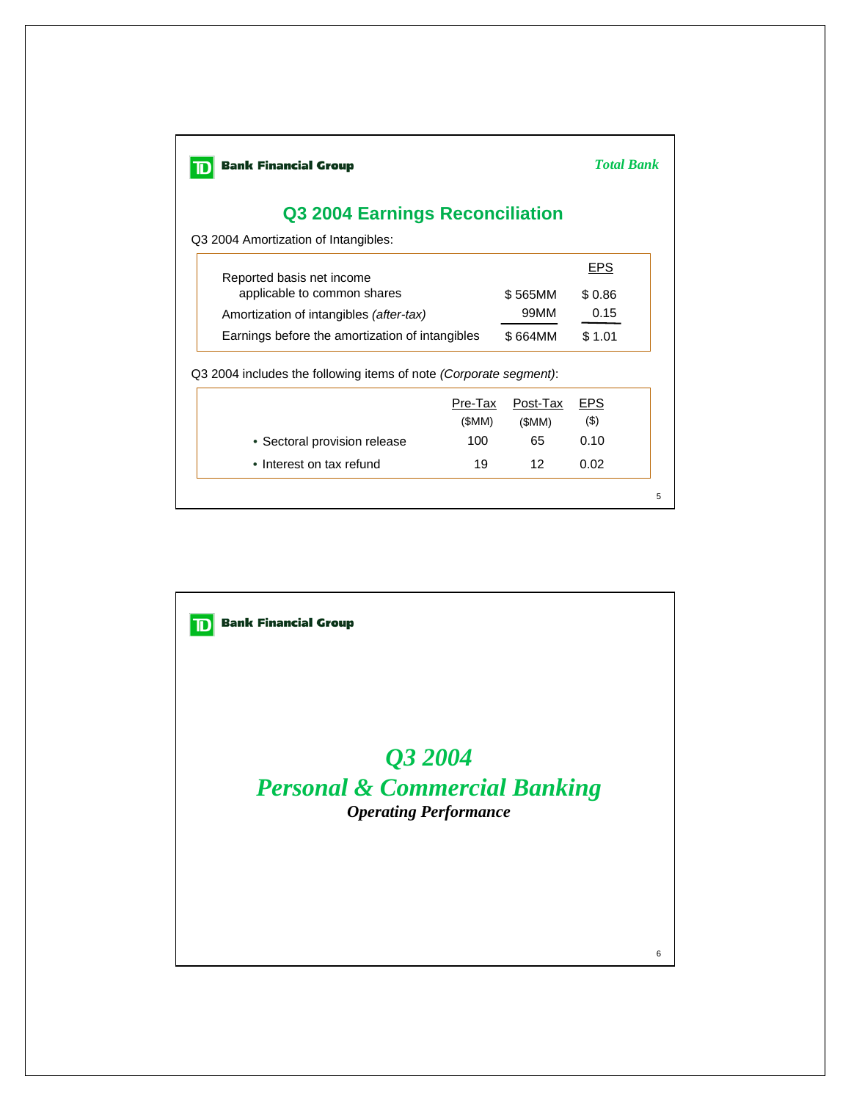| <b>Bank Financial Group</b>                                               |         |          |            |  |
|---------------------------------------------------------------------------|---------|----------|------------|--|
| <b>Q3 2004 Earnings Reconciliation</b>                                    |         |          |            |  |
| Q3 2004 Amortization of Intangibles:                                      |         |          |            |  |
| Reported basis net income                                                 |         |          | <b>EPS</b> |  |
| applicable to common shares                                               |         | \$565MM  | \$0.86     |  |
| Amortization of intangibles (after-tax)                                   |         | 99MM     | 0.15       |  |
| Earnings before the amortization of intangibles                           |         | \$664MM  | \$1.01     |  |
| Q3 2004 includes the following items of note <i>(Corporate segment)</i> : |         |          |            |  |
|                                                                           | Pre-Tax | Post-Tax | <b>EPS</b> |  |
|                                                                           | (SMM)   | (SMM)    | $($ \$)    |  |
|                                                                           | 100     | 65       | 0.10       |  |
| • Sectoral provision release                                              |         |          |            |  |

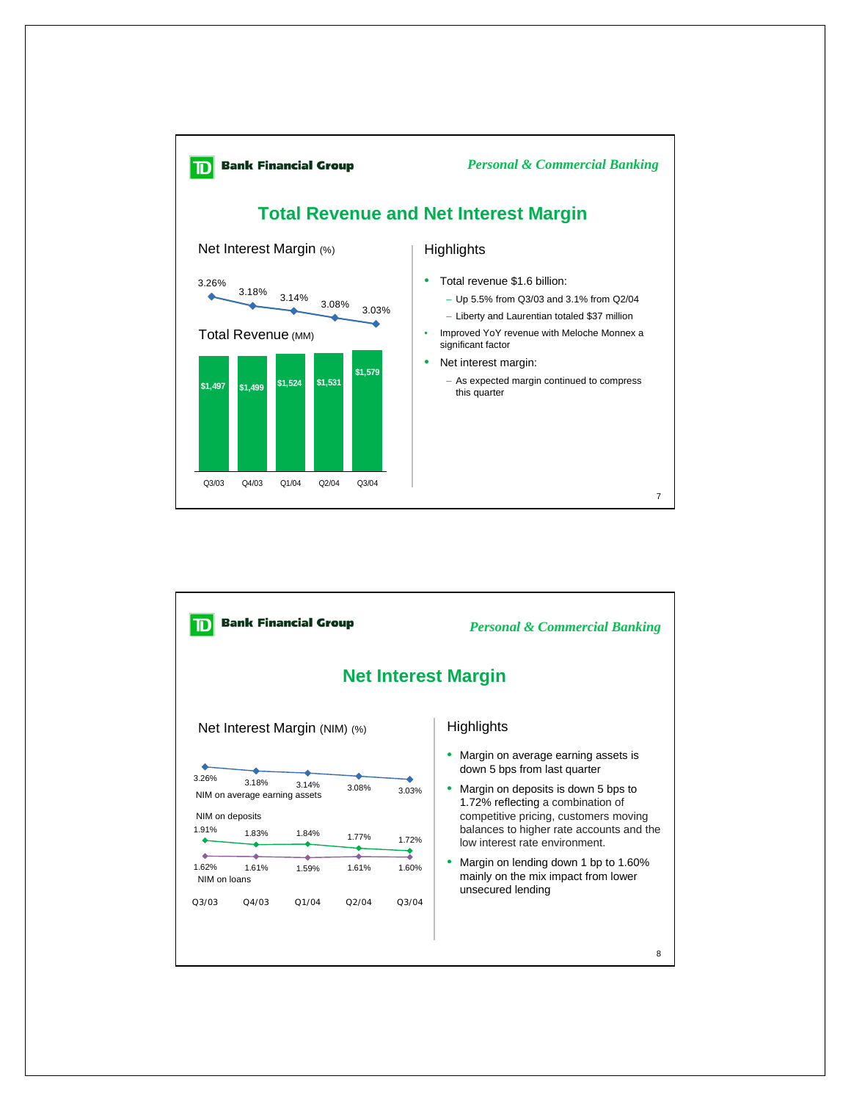

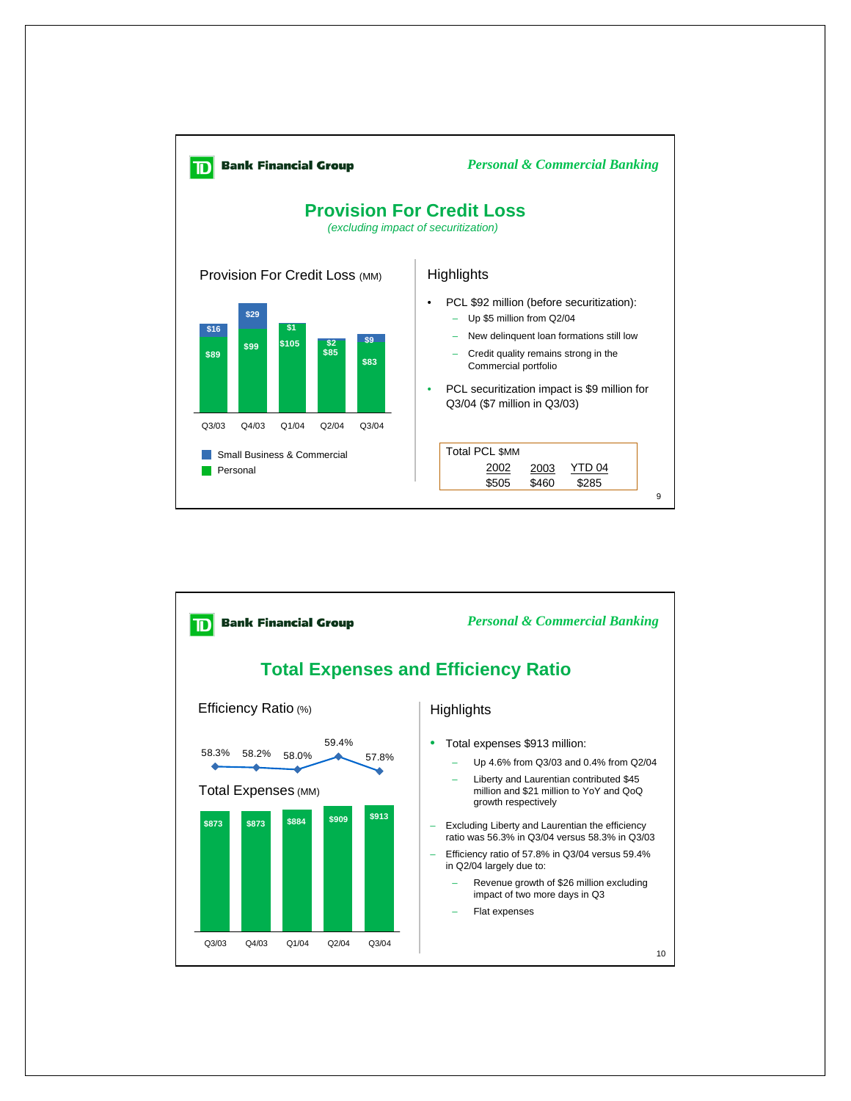

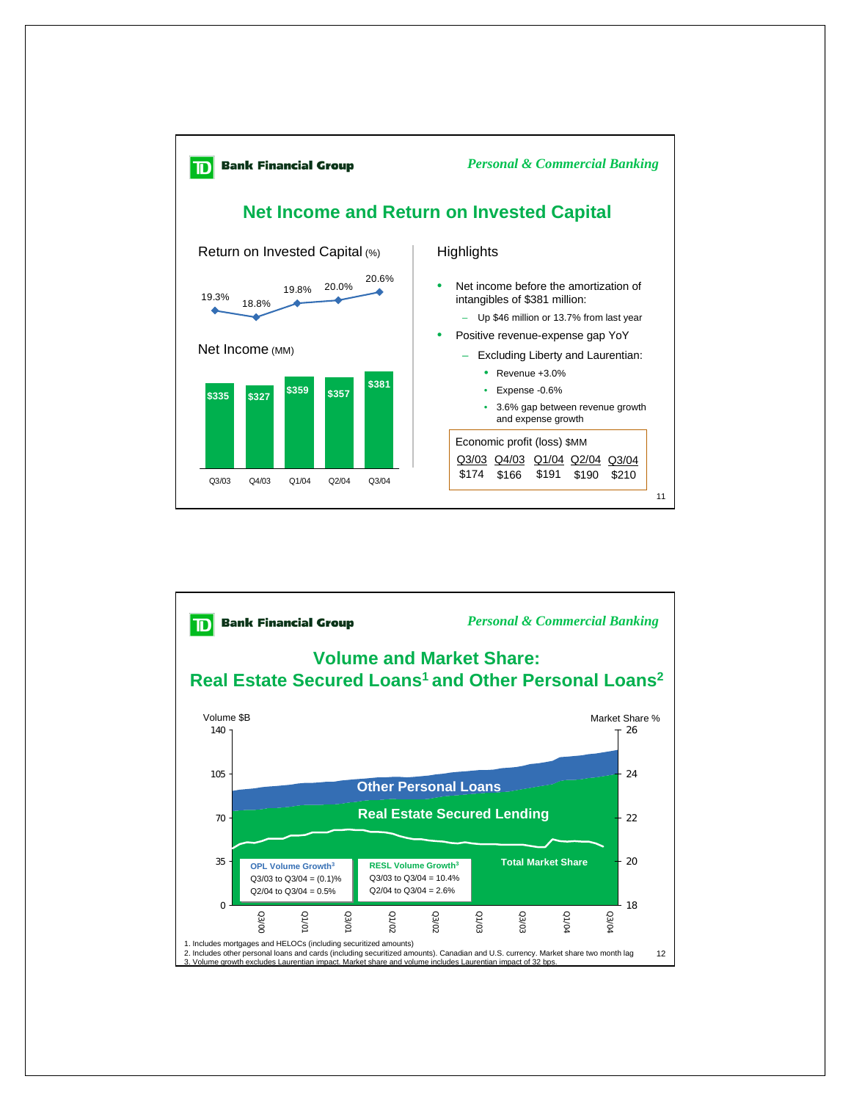

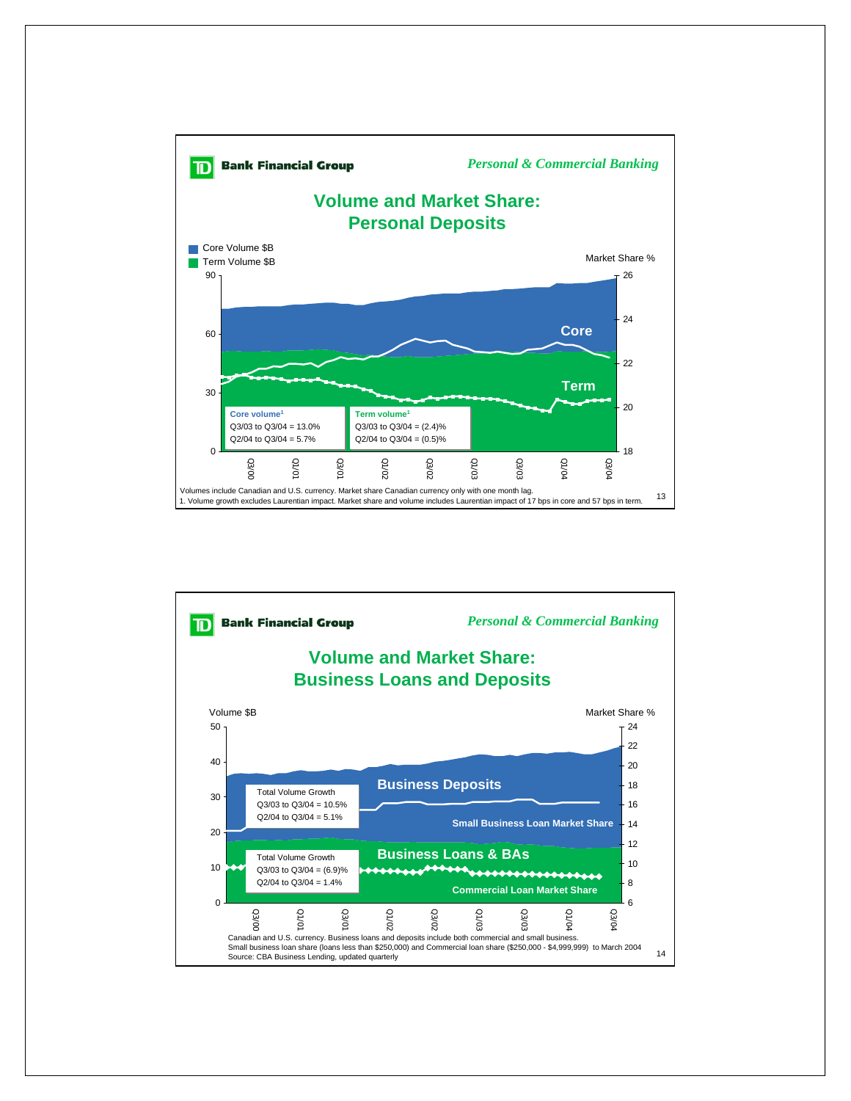

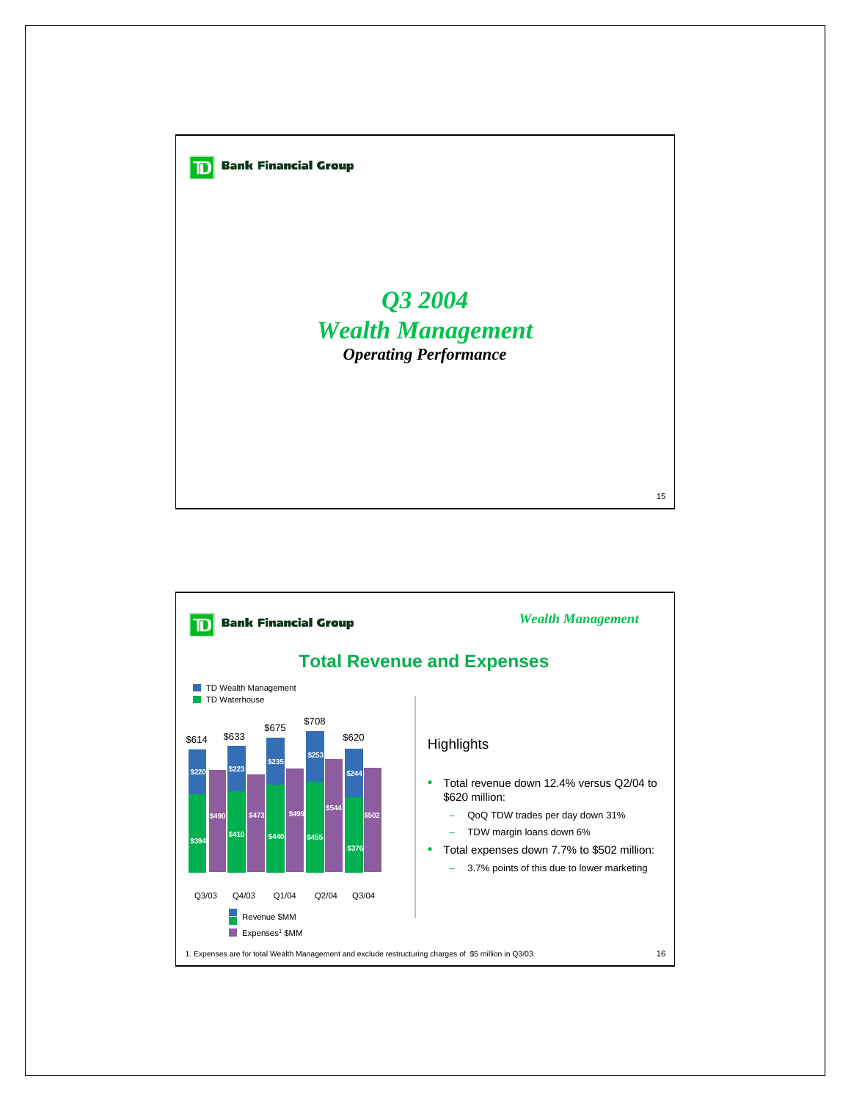

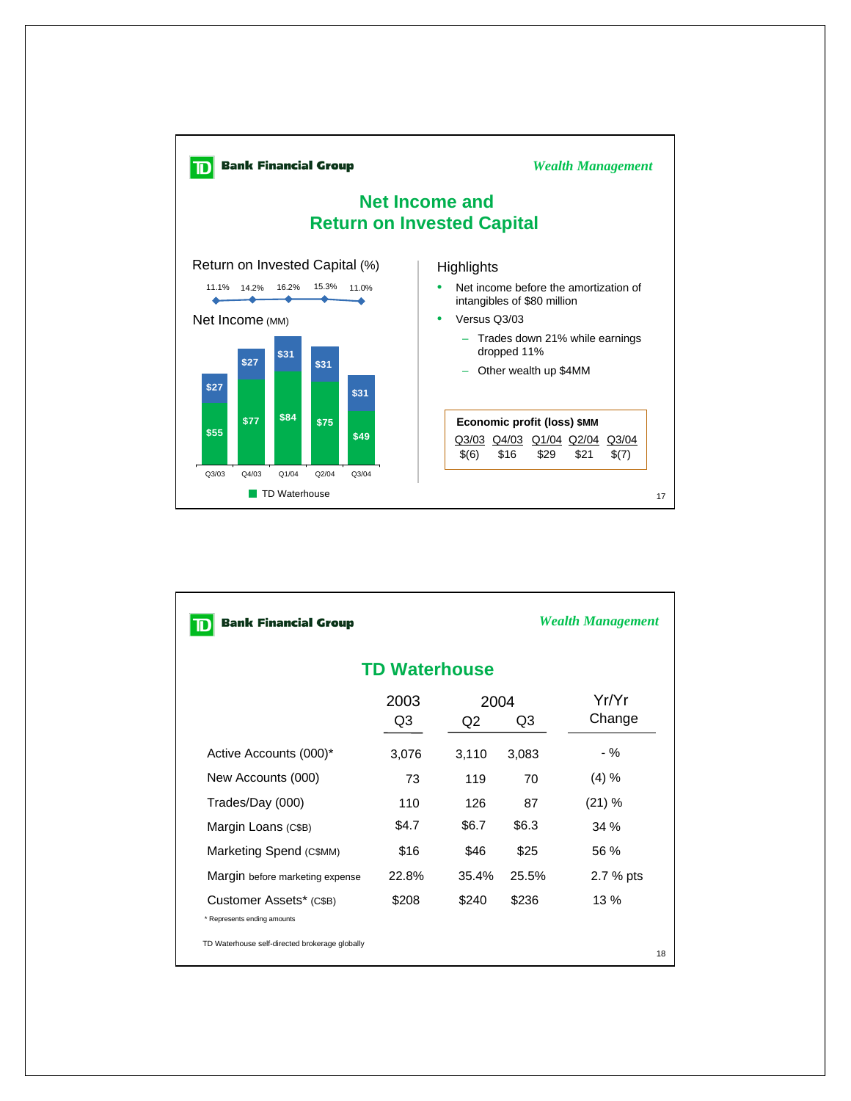

| <b>Bank Financial Group</b>                            |            |            |       | <b>Wealth Management</b> |  |  |  |
|--------------------------------------------------------|------------|------------|-------|--------------------------|--|--|--|
| <b>TD Waterhouse</b>                                   |            |            |       |                          |  |  |  |
|                                                        | 2003<br>Q3 | 2004<br>Q2 | Q3    | Yr/Yr<br>Change          |  |  |  |
| Active Accounts (000)*                                 | 3,076      | 3,110      | 3,083 | - %                      |  |  |  |
| New Accounts (000)                                     | 73         | 119        | 70    | $(4) \%$                 |  |  |  |
| Trades/Day (000)                                       | 110        | 126        | 87    | (21) %                   |  |  |  |
| Margin Loans (C\$B)                                    | \$4.7      | \$6.7      | \$6.3 | 34%                      |  |  |  |
| Marketing Spend (C\$MM)                                | \$16       | \$46       | \$25  | 56 %                     |  |  |  |
| Margin before marketing expense                        | 22.8%      | 35.4%      | 25.5% | 2.7 % pts                |  |  |  |
| Customer Assets* (C\$B)<br>* Represents ending amounts | \$208      | \$240      | \$236 | $13\%$                   |  |  |  |
| TD Waterhouse self-directed brokerage globally         |            |            |       | 18                       |  |  |  |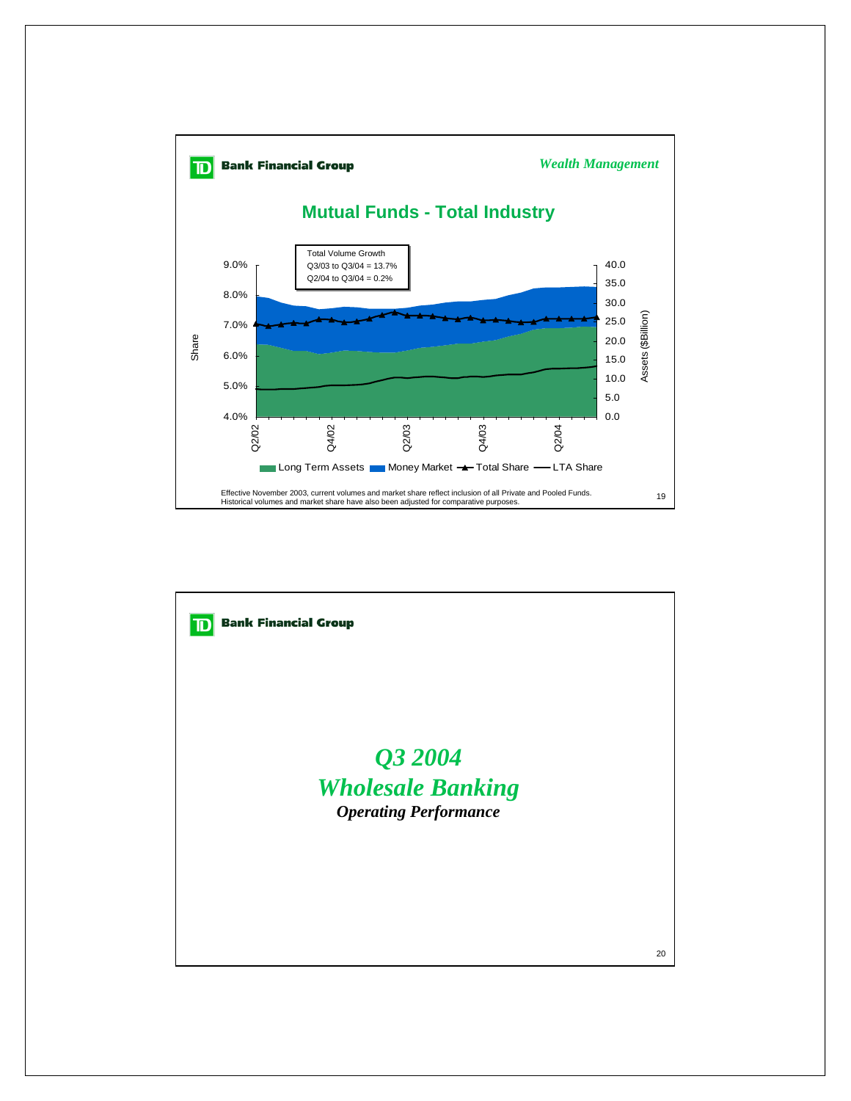

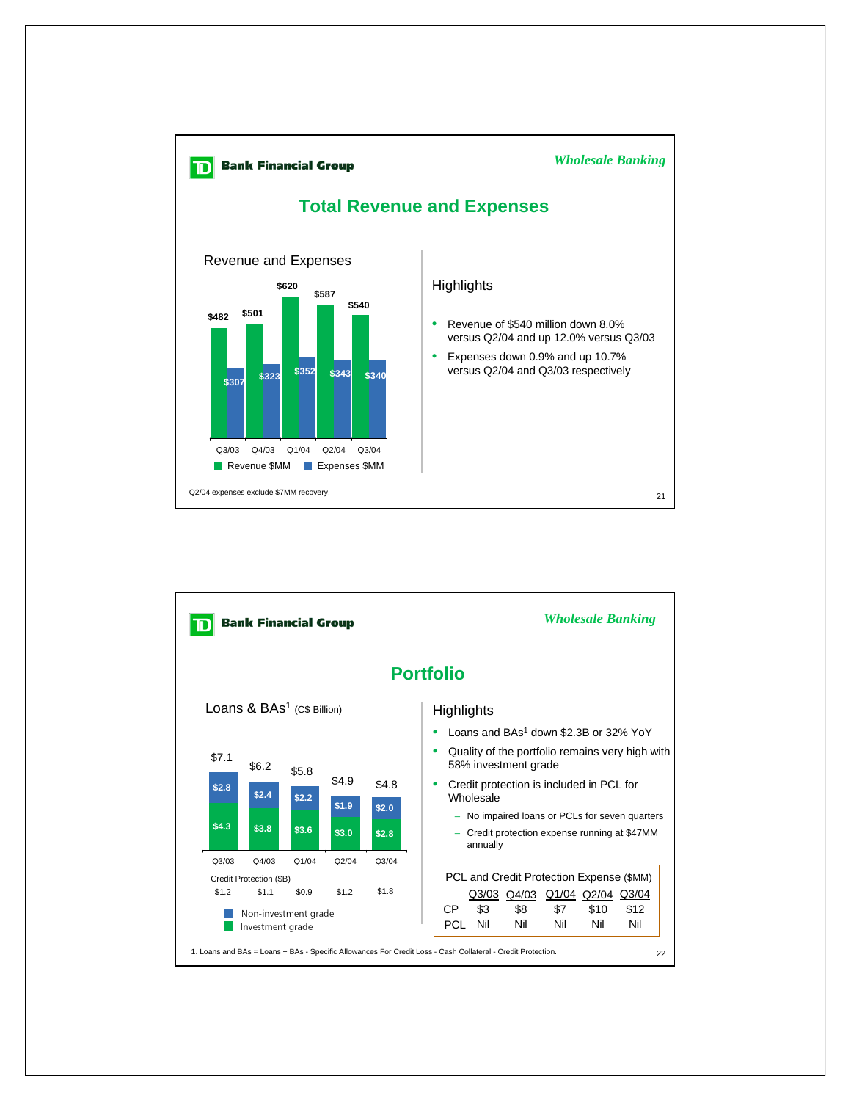

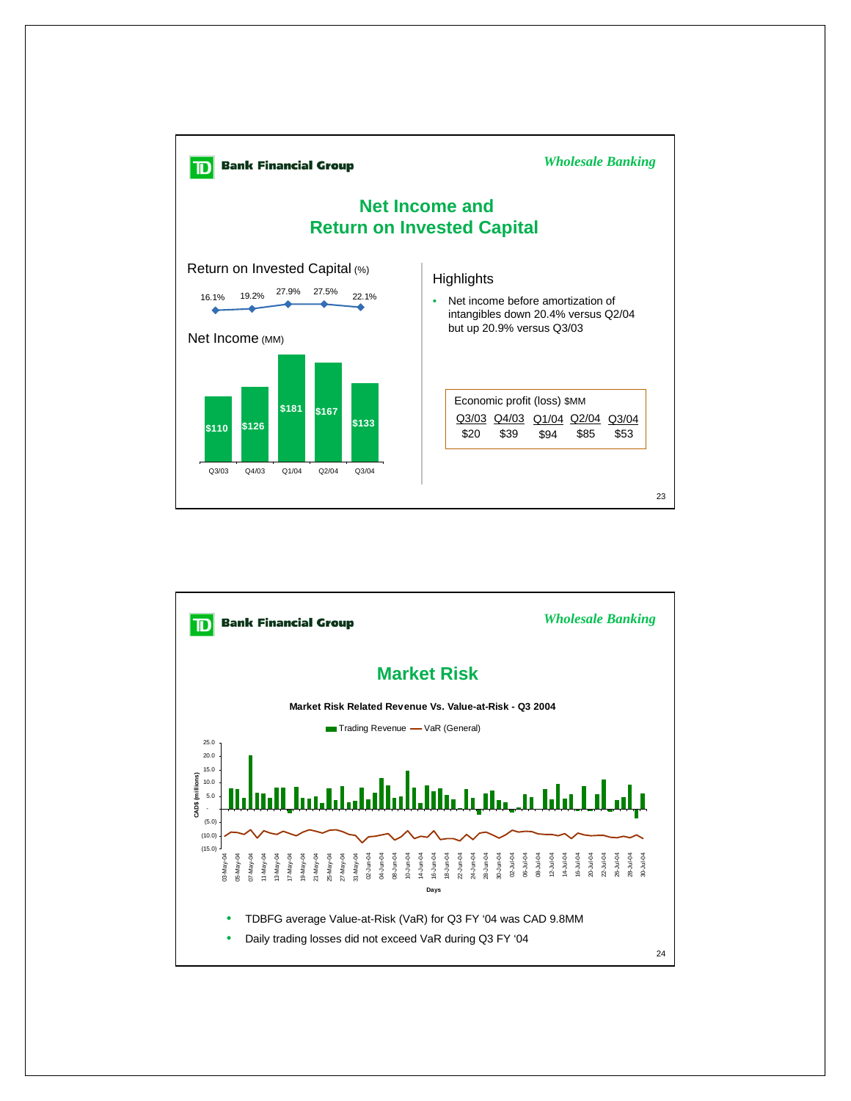

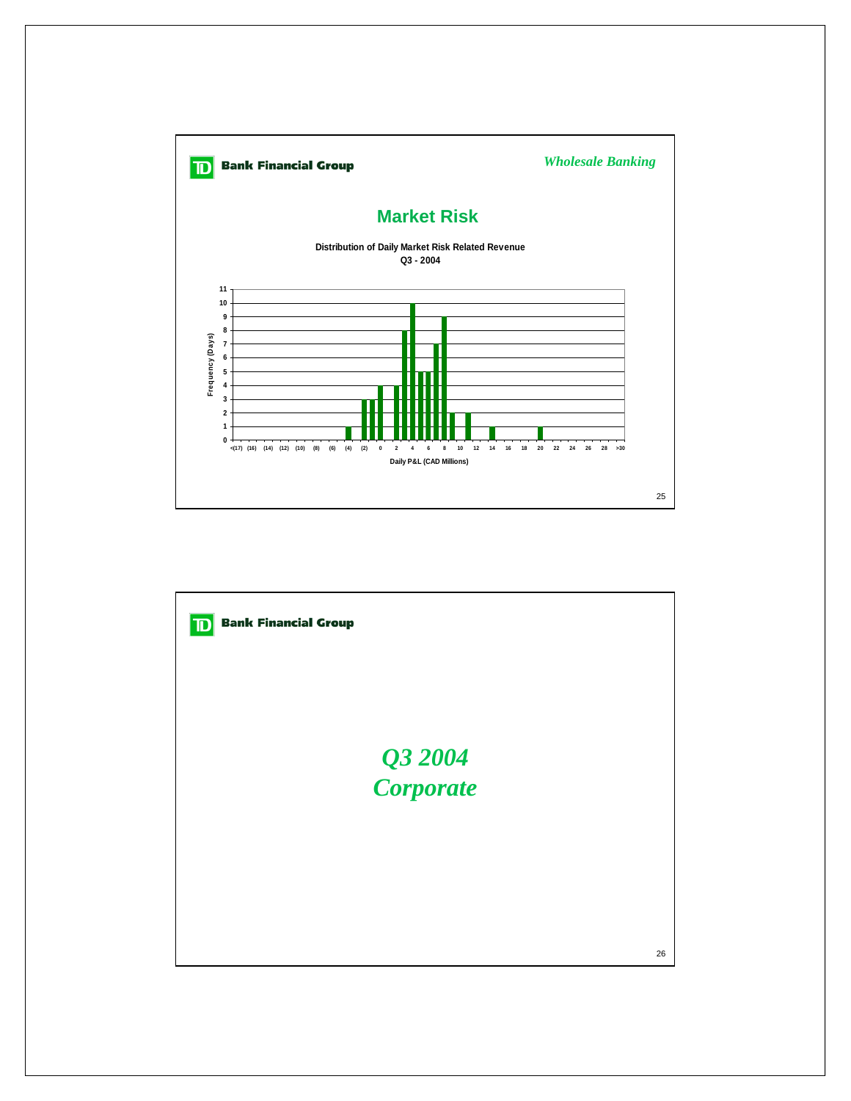

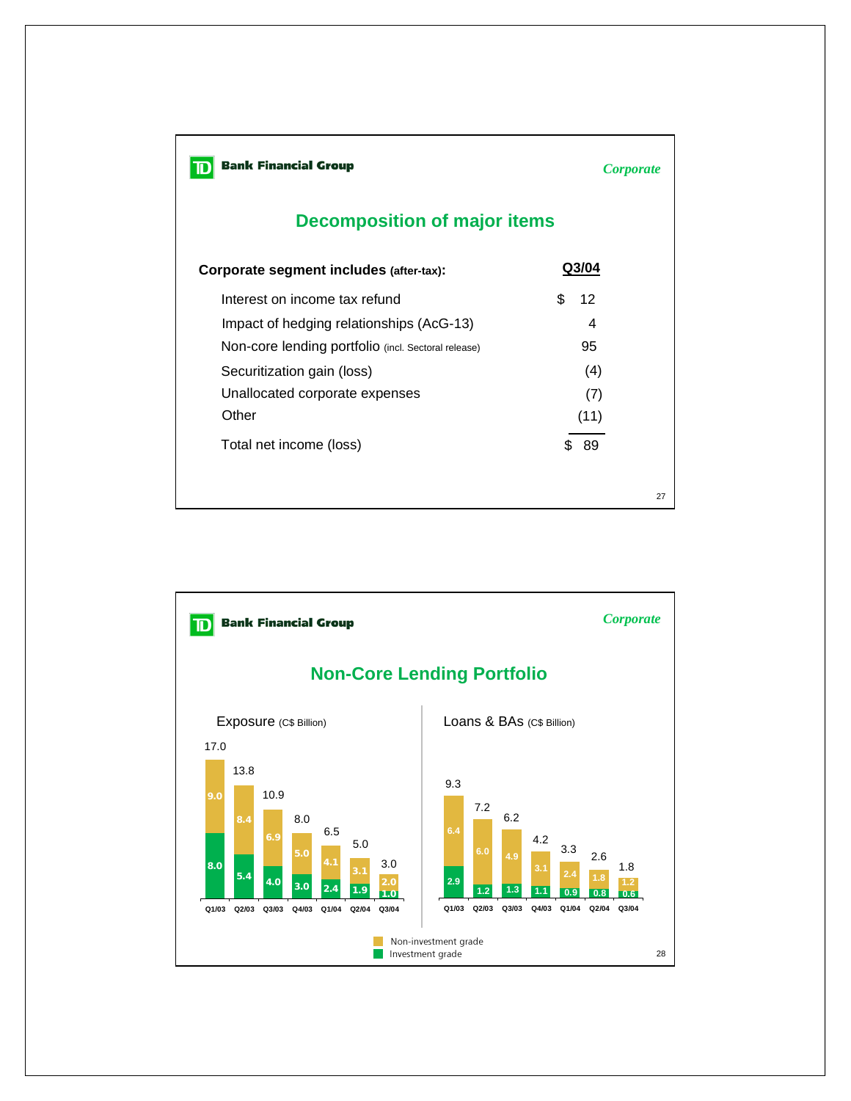| <b>Bank Financial Group</b>                         | <i>Corporate</i> |  |  |  |  |
|-----------------------------------------------------|------------------|--|--|--|--|
| <b>Decomposition of major items</b>                 |                  |  |  |  |  |
| <b>Corporate segment includes (after-tax):</b>      | Q3/04            |  |  |  |  |
| Interest on income tax refund                       | 12<br>\$         |  |  |  |  |
| Impact of hedging relationships (AcG-13)            | 4                |  |  |  |  |
| Non-core lending portfolio (incl. Sectoral release) | 95               |  |  |  |  |
| Securitization gain (loss)                          | (4)              |  |  |  |  |
| Unallocated corporate expenses                      | (7)              |  |  |  |  |
| Other                                               | (11)             |  |  |  |  |
| Total net income (loss)                             | \$89             |  |  |  |  |
|                                                     | 27               |  |  |  |  |